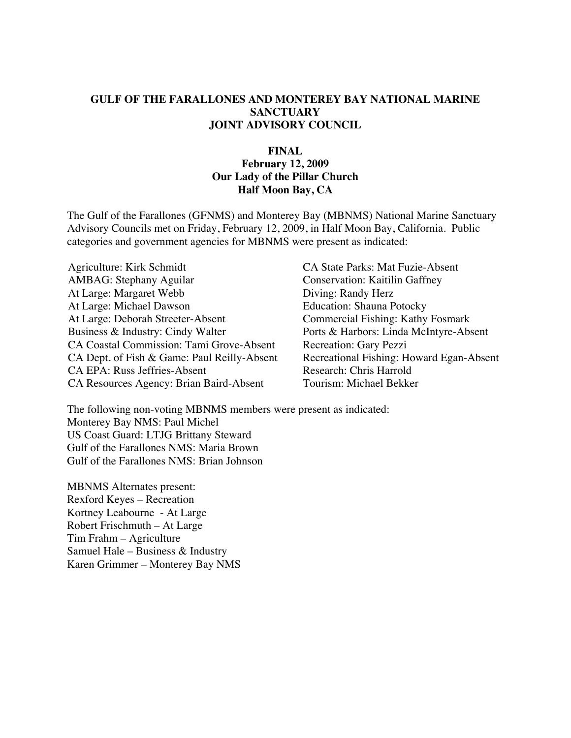#### **GULF OF THE FARALLONES AND MONTEREY BAY NATIONAL MARINE SANCTUARY JOINT ADVISORY COUNCIL**

#### **FINAL February 12, 2009 Our Lady of the Pillar Church Half Moon Bay, CA**

The Gulf of the Farallones (GFNMS) and Monterey Bay (MBNMS) National Marine Sanctuary Advisory Councils met on Friday, February 12, 2009, in Half Moon Bay, California. Public categories and government agencies for MBNMS were present as indicated:

Agriculture: Kirk Schmidt CA State Parks: Mat Fuzie-Absent AMBAG: Stephany Aguilar Conservation: Kaitilin Gaffney At Large: Margaret Webb Diving: Randy Herz At Large: Michael Dawson Education: Shauna Potocky At Large: Deborah Streeter-Absent Commercial Fishing: Kathy Fosmark Business & Industry: Cindy Walter Ports & Harbors: Linda McIntyre-Absent CA Coastal Commission: Tami Grove-Absent Recreation: Gary Pezzi CA Dept. of Fish & Game: Paul Reilly-Absent Recreational Fishing: Howard Egan-Absent CA EPA: Russ Jeffries-Absent Research: Chris Harrold CA Resources Agency: Brian Baird-Absent Tourism: Michael Bekker

The following non-voting MBNMS members were present as indicated: Monterey Bay NMS: Paul Michel US Coast Guard: LTJG Brittany Steward Gulf of the Farallones NMS: Maria Brown Gulf of the Farallones NMS: Brian Johnson

MBNMS Alternates present: Rexford Keyes – Recreation Kortney Leabourne - At Large Robert Frischmuth – At Large Tim Frahm – Agriculture Samuel Hale – Business & Industry Karen Grimmer – Monterey Bay NMS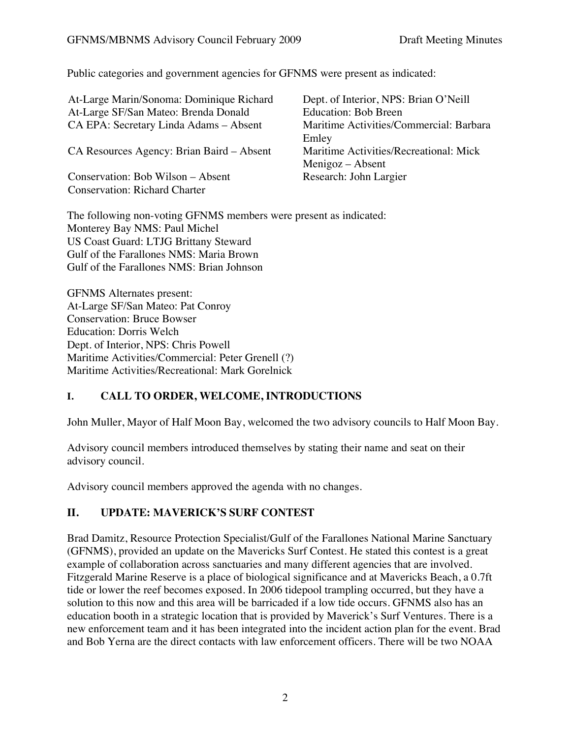Public categories and government agencies for GFNMS were present as indicated:

| At-Large Marin/Sonoma: Dominique Richard<br>At-Large SF/San Mateo: Brenda Donald | Dept. of Interior, NPS: Brian O'Neill<br><b>Education: Bob Breen</b> |
|----------------------------------------------------------------------------------|----------------------------------------------------------------------|
| CA EPA: Secretary Linda Adams - Absent                                           | Maritime Activities/Commercial: Barbara                              |
| CA Resources Agency: Brian Baird – Absent                                        | Emley<br>Maritime Activities/Recreational: Mick                      |
| Conservation: Bob Wilson – Absent                                                | Menigoz – Absent<br>Research: John Largier                           |
| <b>Conservation: Richard Charter</b>                                             |                                                                      |

The following non-voting GFNMS members were present as indicated: Monterey Bay NMS: Paul Michel US Coast Guard: LTJG Brittany Steward Gulf of the Farallones NMS: Maria Brown Gulf of the Farallones NMS: Brian Johnson

GFNMS Alternates present: At-Large SF/San Mateo: Pat Conroy Conservation: Bruce Bowser Education: Dorris Welch Dept. of Interior, NPS: Chris Powell Maritime Activities/Commercial: Peter Grenell (?) Maritime Activities/Recreational: Mark Gorelnick

### **I. CALL TO ORDER, WELCOME, INTRODUCTIONS**

John Muller, Mayor of Half Moon Bay, welcomed the two advisory councils to Half Moon Bay.

Advisory council members introduced themselves by stating their name and seat on their advisory council.

Advisory council members approved the agenda with no changes.

## **II. UPDATE: MAVERICK'S SURF CONTEST**

Brad Damitz, Resource Protection Specialist/Gulf of the Farallones National Marine Sanctuary (GFNMS), provided an update on the Mavericks Surf Contest. He stated this contest is a great example of collaboration across sanctuaries and many different agencies that are involved. Fitzgerald Marine Reserve is a place of biological significance and at Mavericks Beach, a 0.7ft tide or lower the reef becomes exposed. In 2006 tidepool trampling occurred, but they have a solution to this now and this area will be barricaded if a low tide occurs. GFNMS also has an education booth in a strategic location that is provided by Maverick's Surf Ventures. There is a new enforcement team and it has been integrated into the incident action plan for the event. Brad and Bob Yerna are the direct contacts with law enforcement officers. There will be two NOAA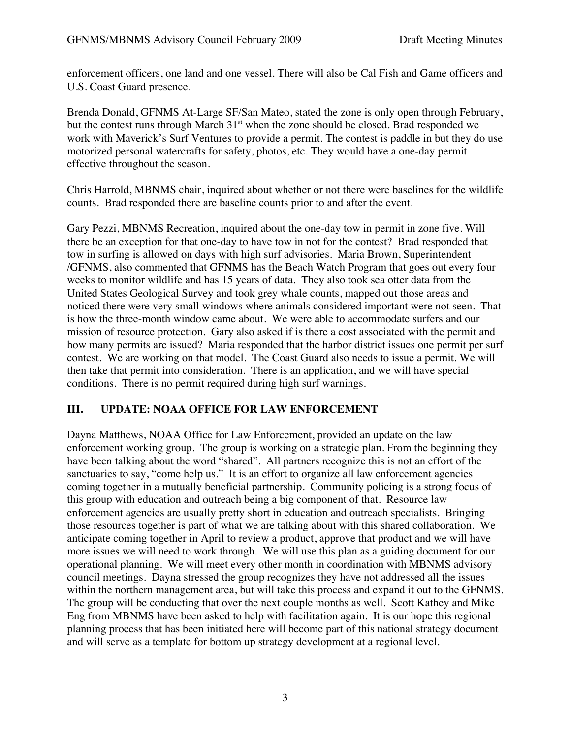enforcement officers, one land and one vessel. There will also be Cal Fish and Game officers and U.S. Coast Guard presence.

Brenda Donald, GFNMS At-Large SF/San Mateo, stated the zone is only open through February, but the contest runs through March  $31<sup>st</sup>$  when the zone should be closed. Brad responded we work with Maverick's Surf Ventures to provide a permit. The contest is paddle in but they do use motorized personal watercrafts for safety, photos, etc. They would have a one-day permit effective throughout the season.

Chris Harrold, MBNMS chair, inquired about whether or not there were baselines for the wildlife counts. Brad responded there are baseline counts prior to and after the event.

Gary Pezzi, MBNMS Recreation, inquired about the one-day tow in permit in zone five. Will there be an exception for that one-day to have tow in not for the contest? Brad responded that tow in surfing is allowed on days with high surf advisories. Maria Brown, Superintendent /GFNMS, also commented that GFNMS has the Beach Watch Program that goes out every four weeks to monitor wildlife and has 15 years of data. They also took sea otter data from the United States Geological Survey and took grey whale counts, mapped out those areas and noticed there were very small windows where animals considered important were not seen. That is how the three-month window came about. We were able to accommodate surfers and our mission of resource protection. Gary also asked if is there a cost associated with the permit and how many permits are issued? Maria responded that the harbor district issues one permit per surf contest. We are working on that model. The Coast Guard also needs to issue a permit. We will then take that permit into consideration. There is an application, and we will have special conditions. There is no permit required during high surf warnings.

## **III. UPDATE: NOAA OFFICE FOR LAW ENFORCEMENT**

Dayna Matthews, NOAA Office for Law Enforcement, provided an update on the law enforcement working group. The group is working on a strategic plan. From the beginning they have been talking about the word "shared". All partners recognize this is not an effort of the sanctuaries to say, "come help us." It is an effort to organize all law enforcement agencies coming together in a mutually beneficial partnership. Community policing is a strong focus of this group with education and outreach being a big component of that. Resource law enforcement agencies are usually pretty short in education and outreach specialists. Bringing those resources together is part of what we are talking about with this shared collaboration. We anticipate coming together in April to review a product, approve that product and we will have more issues we will need to work through. We will use this plan as a guiding document for our operational planning. We will meet every other month in coordination with MBNMS advisory council meetings. Dayna stressed the group recognizes they have not addressed all the issues within the northern management area, but will take this process and expand it out to the GFNMS. The group will be conducting that over the next couple months as well. Scott Kathey and Mike Eng from MBNMS have been asked to help with facilitation again. It is our hope this regional planning process that has been initiated here will become part of this national strategy document and will serve as a template for bottom up strategy development at a regional level.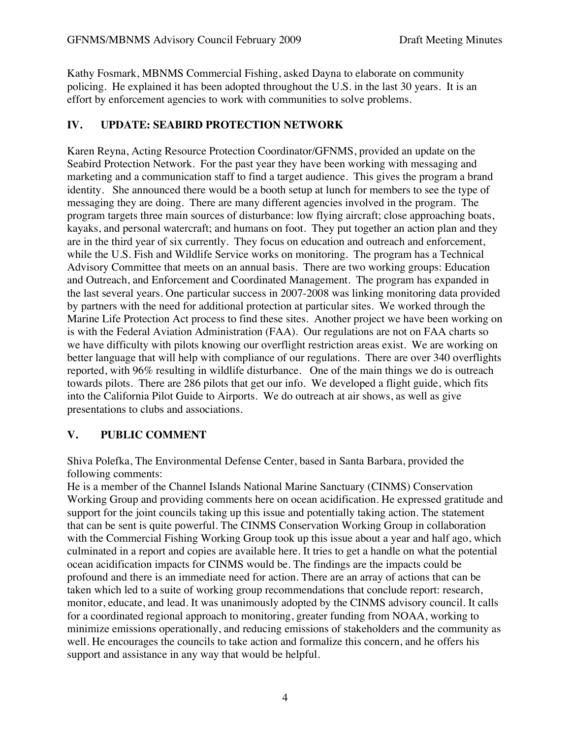Kathy Fosmark, MBNMS Commercial Fishing, asked Dayna to elaborate on community policing. He explained it has been adopted throughout the U.S. in the last 30 years. It is an effort by enforcement agencies to work with communities to solve problems.

### **IV. UPDATE: SEABIRD PROTECTION NETWORK**

Karen Reyna, Acting Resource Protection Coordinator/GFNMS, provided an update on the Seabird Protection Network. For the past year they have been working with messaging and marketing and a communication staff to find a target audience. This gives the program a brand identity. She announced there would be a booth setup at lunch for members to see the type of messaging they are doing. There are many different agencies involved in the program. The program targets three main sources of disturbance: low flying aircraft; close approaching boats, kayaks, and personal watercraft; and humans on foot. They put together an action plan and they are in the third year of six currently. They focus on education and outreach and enforcement, while the U.S. Fish and Wildlife Service works on monitoring. The program has a Technical Advisory Committee that meets on an annual basis. There are two working groups: Education and Outreach, and Enforcement and Coordinated Management. The program has expanded in the last several years. One particular success in 2007-2008 was linking monitoring data provided by partners with the need for additional protection at particular sites. We worked through the Marine Life Protection Act process to find these sites. Another project we have been working on is with the Federal Aviation Administration (FAA). Our regulations are not on FAA charts so we have difficulty with pilots knowing our overflight restriction areas exist. We are working on better language that will help with compliance of our regulations. There are over 340 overflights reported, with 96% resulting in wildlife disturbance. One of the main things we do is outreach towards pilots. There are 286 pilots that get our info. We developed a flight guide, which fits into the California Pilot Guide to Airports. We do outreach at air shows, as well as give presentations to clubs and associations.

### **V. PUBLIC COMMENT**

Shiva Polefka, The Environmental Defense Center, based in Santa Barbara, provided the following comments:

He is a member of the Channel Islands National Marine Sanctuary (CINMS) Conservation Working Group and providing comments here on ocean acidification. He expressed gratitude and support for the joint councils taking up this issue and potentially taking action. The statement that can be sent is quite powerful. The CINMS Conservation Working Group in collaboration with the Commercial Fishing Working Group took up this issue about a year and half ago, which culminated in a report and copies are available here. It tries to get a handle on what the potential ocean acidification impacts for CINMS would be. The findings are the impacts could be profound and there is an immediate need for action. There are an array of actions that can be taken which led to a suite of working group recommendations that conclude report: research, monitor, educate, and lead. It was unanimously adopted by the CINMS advisory council. It calls for a coordinated regional approach to monitoring, greater funding from NOAA, working to minimize emissions operationally, and reducing emissions of stakeholders and the community as well. He encourages the councils to take action and formalize this concern, and he offers his support and assistance in any way that would be helpful.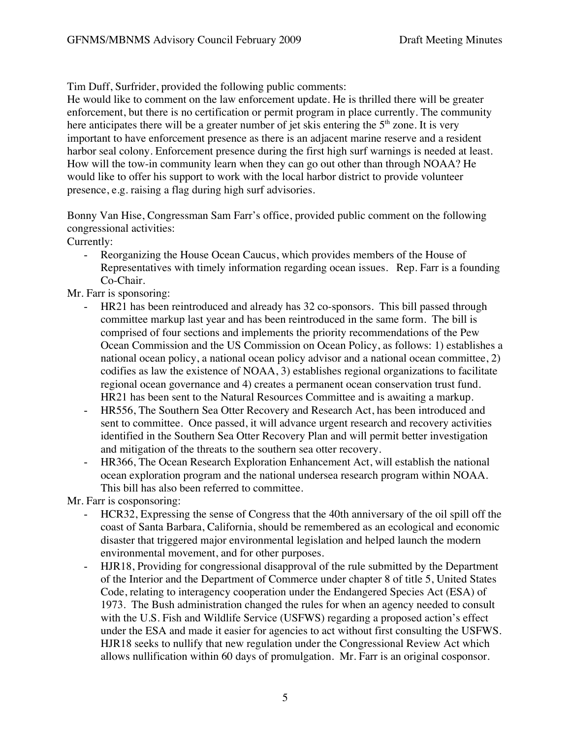Tim Duff, Surfrider, provided the following public comments:

He would like to comment on the law enforcement update. He is thrilled there will be greater enforcement, but there is no certification or permit program in place currently. The community here anticipates there will be a greater number of jet skis entering the  $5<sup>th</sup>$  zone. It is very important to have enforcement presence as there is an adjacent marine reserve and a resident harbor seal colony. Enforcement presence during the first high surf warnings is needed at least. How will the tow-in community learn when they can go out other than through NOAA? He would like to offer his support to work with the local harbor district to provide volunteer presence, e.g. raising a flag during high surf advisories.

Bonny Van Hise, Congressman Sam Farr's office, provided public comment on the following congressional activities:

Currently:

Reorganizing the House Ocean Caucus, which provides members of the House of Representatives with timely information regarding ocean issues. Rep. Farr is a founding Co-Chair.

Mr. Farr is sponsoring:

- HR21 has been reintroduced and already has 32 co-sponsors. This bill passed through committee markup last year and has been reintroduced in the same form. The bill is comprised of four sections and implements the priority recommendations of the Pew Ocean Commission and the US Commission on Ocean Policy, as follows: 1) establishes a national ocean policy, a national ocean policy advisor and a national ocean committee, 2) codifies as law the existence of NOAA, 3) establishes regional organizations to facilitate regional ocean governance and 4) creates a permanent ocean conservation trust fund. HR21 has been sent to the Natural Resources Committee and is awaiting a markup.
- HR556, The Southern Sea Otter Recovery and Research Act, has been introduced and sent to committee. Once passed, it will advance urgent research and recovery activities identified in the Southern Sea Otter Recovery Plan and will permit better investigation and mitigation of the threats to the southern sea otter recovery.
- HR366, The Ocean Research Exploration Enhancement Act, will establish the national ocean exploration program and the national undersea research program within NOAA. This bill has also been referred to committee.

Mr. Farr is cosponsoring:

- HCR32, Expressing the sense of Congress that the 40th anniversary of the oil spill off the coast of Santa Barbara, California, should be remembered as an ecological and economic disaster that triggered major environmental legislation and helped launch the modern environmental movement, and for other purposes.
- HJR18, Providing for congressional disapproval of the rule submitted by the Department of the Interior and the Department of Commerce under chapter 8 of title 5, United States Code, relating to interagency cooperation under the Endangered Species Act (ESA) of 1973. The Bush administration changed the rules for when an agency needed to consult with the U.S. Fish and Wildlife Service (USFWS) regarding a proposed action's effect under the ESA and made it easier for agencies to act without first consulting the USFWS. HJR18 seeks to nullify that new regulation under the Congressional Review Act which allows nullification within 60 days of promulgation. Mr. Farr is an original cosponsor.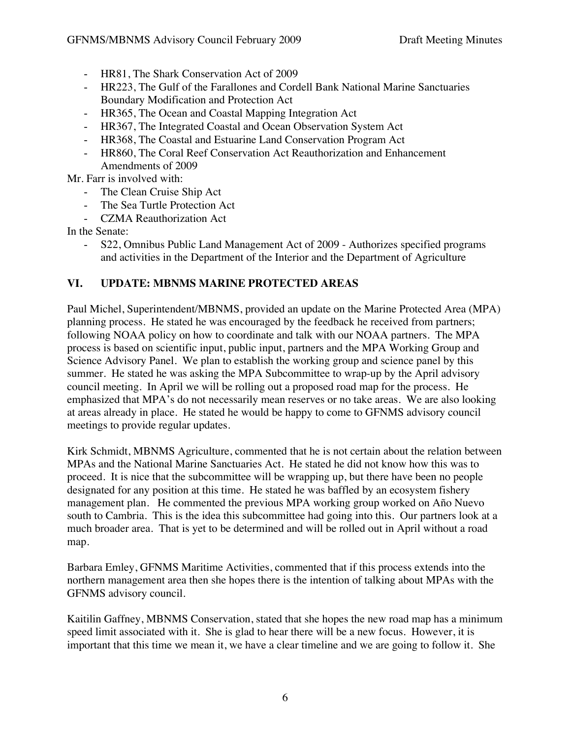- HR81, The Shark Conservation Act of 2009
- HR223, The Gulf of the Farallones and Cordell Bank National Marine Sanctuaries Boundary Modification and Protection Act
- HR365, The Ocean and Coastal Mapping Integration Act
- HR367, The Integrated Coastal and Ocean Observation System Act
- HR368, The Coastal and Estuarine Land Conservation Program Act
- HR860, The Coral Reef Conservation Act Reauthorization and Enhancement Amendments of 2009

Mr. Farr is involved with:

- The Clean Cruise Ship Act
- The Sea Turtle Protection Act
- CZMA Reauthorization Act

In the Senate:

- S22, Omnibus Public Land Management Act of 2009 - Authorizes specified programs and activities in the Department of the Interior and the Department of Agriculture

## **VI. UPDATE: MBNMS MARINE PROTECTED AREAS**

Paul Michel, Superintendent/MBNMS, provided an update on the Marine Protected Area (MPA) planning process. He stated he was encouraged by the feedback he received from partners; following NOAA policy on how to coordinate and talk with our NOAA partners. The MPA process is based on scientific input, public input, partners and the MPA Working Group and Science Advisory Panel. We plan to establish the working group and science panel by this summer. He stated he was asking the MPA Subcommittee to wrap-up by the April advisory council meeting. In April we will be rolling out a proposed road map for the process. He emphasized that MPA's do not necessarily mean reserves or no take areas. We are also looking at areas already in place. He stated he would be happy to come to GFNMS advisory council meetings to provide regular updates.

Kirk Schmidt, MBNMS Agriculture, commented that he is not certain about the relation between MPAs and the National Marine Sanctuaries Act. He stated he did not know how this was to proceed. It is nice that the subcommittee will be wrapping up, but there have been no people designated for any position at this time. He stated he was baffled by an ecosystem fishery management plan. He commented the previous MPA working group worked on Año Nuevo south to Cambria. This is the idea this subcommittee had going into this. Our partners look at a much broader area. That is yet to be determined and will be rolled out in April without a road map.

Barbara Emley, GFNMS Maritime Activities, commented that if this process extends into the northern management area then she hopes there is the intention of talking about MPAs with the GFNMS advisory council.

Kaitilin Gaffney, MBNMS Conservation, stated that she hopes the new road map has a minimum speed limit associated with it. She is glad to hear there will be a new focus. However, it is important that this time we mean it, we have a clear timeline and we are going to follow it. She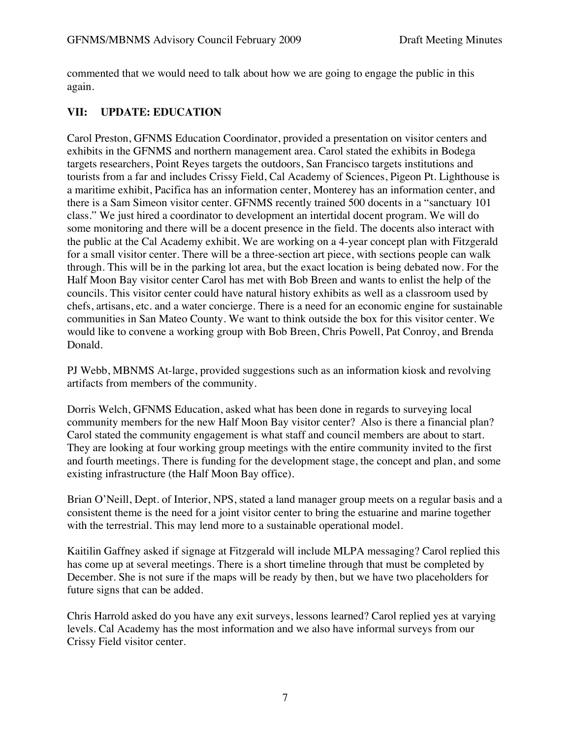commented that we would need to talk about how we are going to engage the public in this again.

## **VII: UPDATE: EDUCATION**

Carol Preston, GFNMS Education Coordinator, provided a presentation on visitor centers and exhibits in the GFNMS and northern management area. Carol stated the exhibits in Bodega targets researchers, Point Reyes targets the outdoors, San Francisco targets institutions and tourists from a far and includes Crissy Field, Cal Academy of Sciences, Pigeon Pt. Lighthouse is a maritime exhibit, Pacifica has an information center, Monterey has an information center, and there is a Sam Simeon visitor center. GFNMS recently trained 500 docents in a "sanctuary 101 class." We just hired a coordinator to development an intertidal docent program. We will do some monitoring and there will be a docent presence in the field. The docents also interact with the public at the Cal Academy exhibit. We are working on a 4-year concept plan with Fitzgerald for a small visitor center. There will be a three-section art piece, with sections people can walk through. This will be in the parking lot area, but the exact location is being debated now. For the Half Moon Bay visitor center Carol has met with Bob Breen and wants to enlist the help of the councils. This visitor center could have natural history exhibits as well as a classroom used by chefs, artisans, etc. and a water concierge. There is a need for an economic engine for sustainable communities in San Mateo County. We want to think outside the box for this visitor center. We would like to convene a working group with Bob Breen, Chris Powell, Pat Conroy, and Brenda Donald.

PJ Webb, MBNMS At-large, provided suggestions such as an information kiosk and revolving artifacts from members of the community.

Dorris Welch, GFNMS Education, asked what has been done in regards to surveying local community members for the new Half Moon Bay visitor center? Also is there a financial plan? Carol stated the community engagement is what staff and council members are about to start. They are looking at four working group meetings with the entire community invited to the first and fourth meetings. There is funding for the development stage, the concept and plan, and some existing infrastructure (the Half Moon Bay office).

Brian O'Neill, Dept. of Interior, NPS, stated a land manager group meets on a regular basis and a consistent theme is the need for a joint visitor center to bring the estuarine and marine together with the terrestrial. This may lend more to a sustainable operational model.

Kaitilin Gaffney asked if signage at Fitzgerald will include MLPA messaging? Carol replied this has come up at several meetings. There is a short timeline through that must be completed by December. She is not sure if the maps will be ready by then, but we have two placeholders for future signs that can be added.

Chris Harrold asked do you have any exit surveys, lessons learned? Carol replied yes at varying levels. Cal Academy has the most information and we also have informal surveys from our Crissy Field visitor center.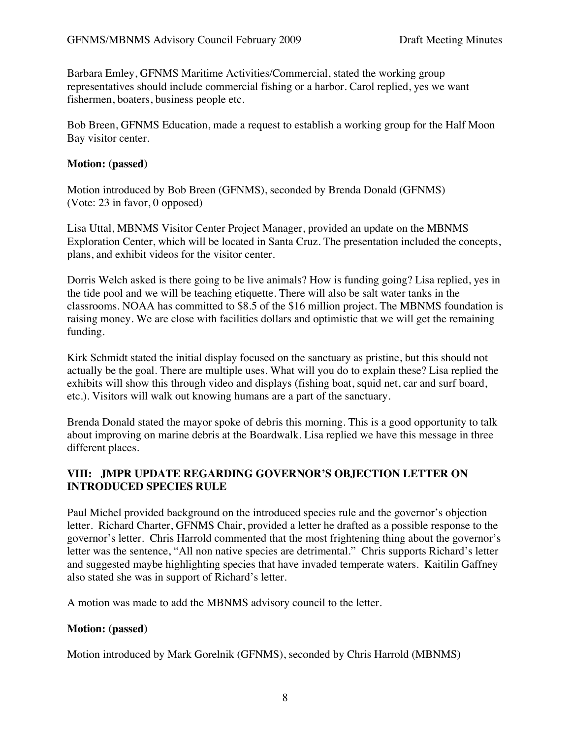Barbara Emley, GFNMS Maritime Activities/Commercial, stated the working group representatives should include commercial fishing or a harbor. Carol replied, yes we want fishermen, boaters, business people etc.

Bob Breen, GFNMS Education, made a request to establish a working group for the Half Moon Bay visitor center.

#### **Motion: (passed)**

Motion introduced by Bob Breen (GFNMS), seconded by Brenda Donald (GFNMS) (Vote: 23 in favor, 0 opposed)

Lisa Uttal, MBNMS Visitor Center Project Manager, provided an update on the MBNMS Exploration Center, which will be located in Santa Cruz. The presentation included the concepts, plans, and exhibit videos for the visitor center.

Dorris Welch asked is there going to be live animals? How is funding going? Lisa replied, yes in the tide pool and we will be teaching etiquette. There will also be salt water tanks in the classrooms. NOAA has committed to \$8.5 of the \$16 million project. The MBNMS foundation is raising money. We are close with facilities dollars and optimistic that we will get the remaining funding.

Kirk Schmidt stated the initial display focused on the sanctuary as pristine, but this should not actually be the goal. There are multiple uses. What will you do to explain these? Lisa replied the exhibits will show this through video and displays (fishing boat, squid net, car and surf board, etc.). Visitors will walk out knowing humans are a part of the sanctuary.

Brenda Donald stated the mayor spoke of debris this morning. This is a good opportunity to talk about improving on marine debris at the Boardwalk. Lisa replied we have this message in three different places.

### **VIII: JMPR UPDATE REGARDING GOVERNOR'S OBJECTION LETTER ON INTRODUCED SPECIES RULE**

Paul Michel provided background on the introduced species rule and the governor's objection letter. Richard Charter, GFNMS Chair, provided a letter he drafted as a possible response to the governor's letter. Chris Harrold commented that the most frightening thing about the governor's letter was the sentence, "All non native species are detrimental." Chris supports Richard's letter and suggested maybe highlighting species that have invaded temperate waters. Kaitilin Gaffney also stated she was in support of Richard's letter.

A motion was made to add the MBNMS advisory council to the letter.

### **Motion: (passed)**

Motion introduced by Mark Gorelnik (GFNMS), seconded by Chris Harrold (MBNMS)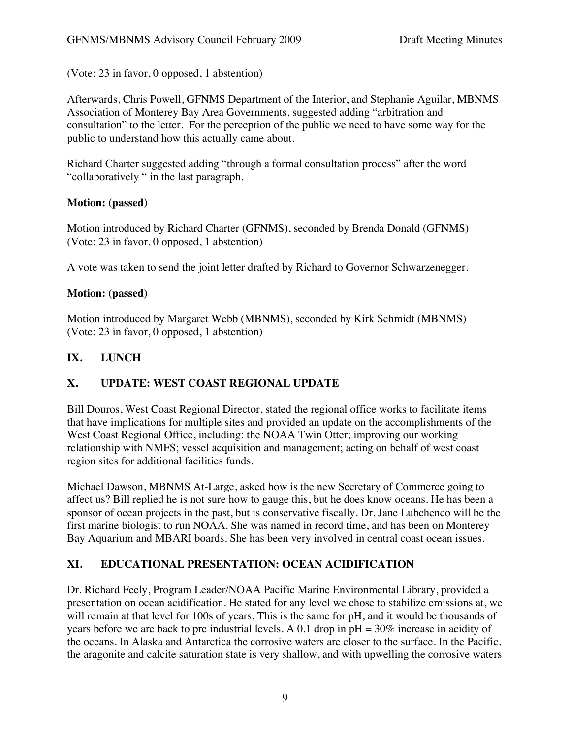(Vote: 23 in favor, 0 opposed, 1 abstention)

Afterwards, Chris Powell, GFNMS Department of the Interior, and Stephanie Aguilar, MBNMS Association of Monterey Bay Area Governments, suggested adding "arbitration and consultation" to the letter. For the perception of the public we need to have some way for the public to understand how this actually came about.

Richard Charter suggested adding "through a formal consultation process" after the word "collaboratively " in the last paragraph.

### **Motion: (passed)**

Motion introduced by Richard Charter (GFNMS), seconded by Brenda Donald (GFNMS) (Vote: 23 in favor, 0 opposed, 1 abstention)

A vote was taken to send the joint letter drafted by Richard to Governor Schwarzenegger.

## **Motion: (passed)**

Motion introduced by Margaret Webb (MBNMS), seconded by Kirk Schmidt (MBNMS) (Vote: 23 in favor, 0 opposed, 1 abstention)

## **IX. LUNCH**

## **X. UPDATE: WEST COAST REGIONAL UPDATE**

Bill Douros, West Coast Regional Director, stated the regional office works to facilitate items that have implications for multiple sites and provided an update on the accomplishments of the West Coast Regional Office, including: the NOAA Twin Otter; improving our working relationship with NMFS; vessel acquisition and management; acting on behalf of west coast region sites for additional facilities funds.

Michael Dawson, MBNMS At-Large, asked how is the new Secretary of Commerce going to affect us? Bill replied he is not sure how to gauge this, but he does know oceans. He has been a sponsor of ocean projects in the past, but is conservative fiscally. Dr. Jane Lubchenco will be the first marine biologist to run NOAA. She was named in record time, and has been on Monterey Bay Aquarium and MBARI boards. She has been very involved in central coast ocean issues.

# **XI. EDUCATIONAL PRESENTATION: OCEAN ACIDIFICATION**

Dr. Richard Feely, Program Leader/NOAA Pacific Marine Environmental Library, provided a presentation on ocean acidification. He stated for any level we chose to stabilize emissions at, we will remain at that level for 100s of years. This is the same for pH, and it would be thousands of years before we are back to pre industrial levels. A 0.1 drop in pH = 30% increase in acidity of the oceans. In Alaska and Antarctica the corrosive waters are closer to the surface. In the Pacific, the aragonite and calcite saturation state is very shallow, and with upwelling the corrosive waters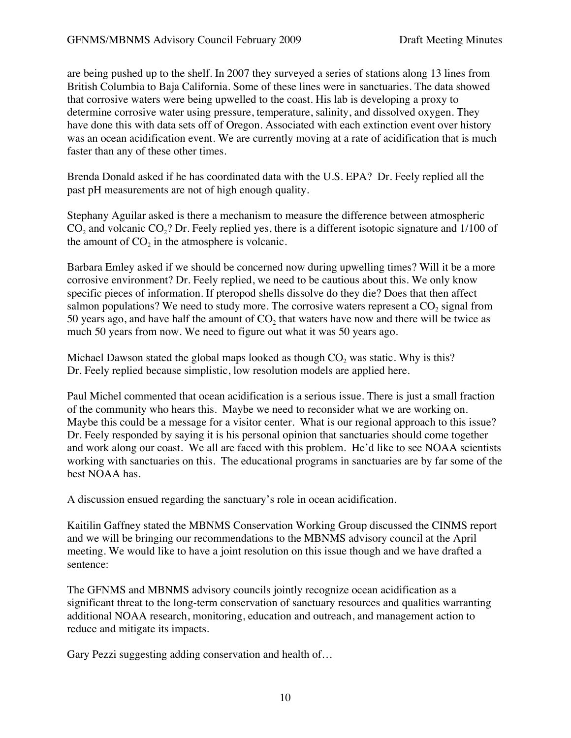are being pushed up to the shelf. In 2007 they surveyed a series of stations along 13 lines from British Columbia to Baja California. Some of these lines were in sanctuaries. The data showed that corrosive waters were being upwelled to the coast. His lab is developing a proxy to determine corrosive water using pressure, temperature, salinity, and dissolved oxygen. They have done this with data sets off of Oregon. Associated with each extinction event over history was an ocean acidification event. We are currently moving at a rate of acidification that is much faster than any of these other times.

Brenda Donald asked if he has coordinated data with the U.S. EPA? Dr. Feely replied all the past pH measurements are not of high enough quality.

Stephany Aguilar asked is there a mechanism to measure the difference between atmospheric  $CO<sub>2</sub>$  and volcanic  $CO<sub>2</sub>$ ? Dr. Feely replied yes, there is a different isotopic signature and 1/100 of the amount of  $CO<sub>2</sub>$  in the atmosphere is volcanic.

Barbara Emley asked if we should be concerned now during upwelling times? Will it be a more corrosive environment? Dr. Feely replied, we need to be cautious about this. We only know specific pieces of information. If pteropod shells dissolve do they die? Does that then affect salmon populations? We need to study more. The corrosive waters represent a  $CO<sub>2</sub>$  signal from 50 years ago, and have half the amount of  $CO<sub>2</sub>$  that waters have now and there will be twice as much 50 years from now. We need to figure out what it was 50 years ago.

Michael Dawson stated the global maps looked as though  $CO<sub>2</sub>$  was static. Why is this? Dr. Feely replied because simplistic, low resolution models are applied here.

Paul Michel commented that ocean acidification is a serious issue. There is just a small fraction of the community who hears this. Maybe we need to reconsider what we are working on. Maybe this could be a message for a visitor center. What is our regional approach to this issue? Dr. Feely responded by saying it is his personal opinion that sanctuaries should come together and work along our coast. We all are faced with this problem. He'd like to see NOAA scientists working with sanctuaries on this. The educational programs in sanctuaries are by far some of the best NOAA has.

A discussion ensued regarding the sanctuary's role in ocean acidification.

Kaitilin Gaffney stated the MBNMS Conservation Working Group discussed the CINMS report and we will be bringing our recommendations to the MBNMS advisory council at the April meeting. We would like to have a joint resolution on this issue though and we have drafted a sentence:

The GFNMS and MBNMS advisory councils jointly recognize ocean acidification as a significant threat to the long-term conservation of sanctuary resources and qualities warranting additional NOAA research, monitoring, education and outreach, and management action to reduce and mitigate its impacts.

Gary Pezzi suggesting adding conservation and health of…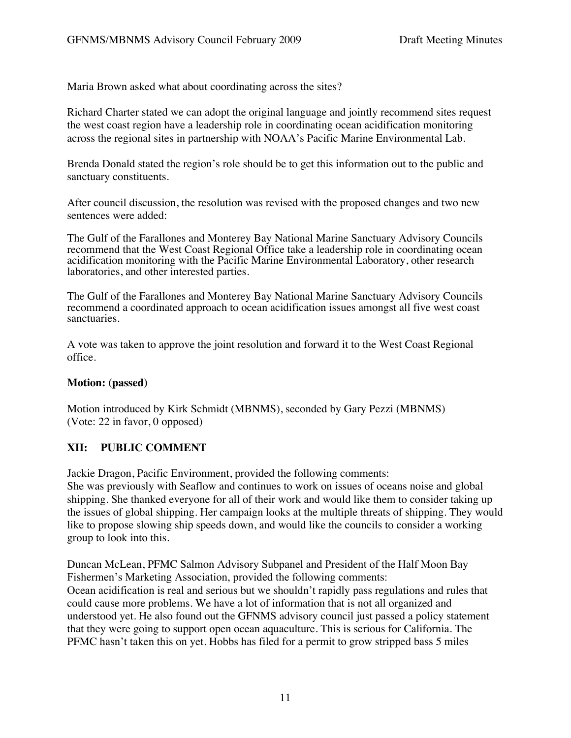Maria Brown asked what about coordinating across the sites?

Richard Charter stated we can adopt the original language and jointly recommend sites request the west coast region have a leadership role in coordinating ocean acidification monitoring across the regional sites in partnership with NOAA's Pacific Marine Environmental Lab.

Brenda Donald stated the region's role should be to get this information out to the public and sanctuary constituents.

After council discussion, the resolution was revised with the proposed changes and two new sentences were added:

The Gulf of the Farallones and Monterey Bay National Marine Sanctuary Advisory Councils recommend that the West Coast Regional Office take a leadership role in coordinating ocean acidification monitoring with the Pacific Marine Environmental Laboratory, other research laboratories, and other interested parties.

The Gulf of the Farallones and Monterey Bay National Marine Sanctuary Advisory Councils recommend a coordinated approach to ocean acidification issues amongst all five west coast sanctuaries.

A vote was taken to approve the joint resolution and forward it to the West Coast Regional office.

### **Motion: (passed)**

Motion introduced by Kirk Schmidt (MBNMS), seconded by Gary Pezzi (MBNMS) (Vote: 22 in favor, 0 opposed)

### **XII: PUBLIC COMMENT**

Jackie Dragon, Pacific Environment, provided the following comments:

She was previously with Seaflow and continues to work on issues of oceans noise and global shipping. She thanked everyone for all of their work and would like them to consider taking up the issues of global shipping. Her campaign looks at the multiple threats of shipping. They would like to propose slowing ship speeds down, and would like the councils to consider a working group to look into this.

Duncan McLean, PFMC Salmon Advisory Subpanel and President of the Half Moon Bay Fishermen's Marketing Association, provided the following comments: Ocean acidification is real and serious but we shouldn't rapidly pass regulations and rules that could cause more problems. We have a lot of information that is not all organized and understood yet. He also found out the GFNMS advisory council just passed a policy statement that they were going to support open ocean aquaculture. This is serious for California. The PFMC hasn't taken this on yet. Hobbs has filed for a permit to grow stripped bass 5 miles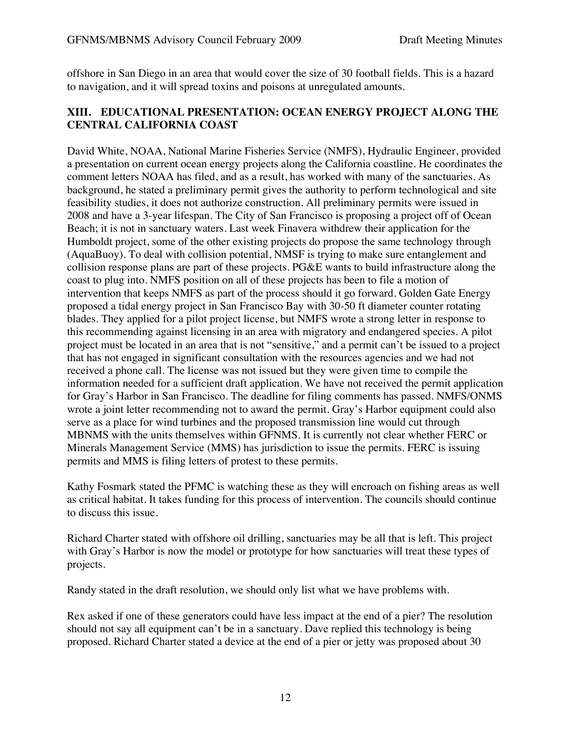offshore in San Diego in an area that would cover the size of 30 football fields. This is a hazard to navigation, and it will spread toxins and poisons at unregulated amounts.

### **XIII. EDUCATIONAL PRESENTATION: OCEAN ENERGY PROJECT ALONG THE CENTRAL CALIFORNIA COAST**

David White, NOAA, National Marine Fisheries Service (NMFS), Hydraulic Engineer, provided a presentation on current ocean energy projects along the California coastline. He coordinates the comment letters NOAA has filed, and as a result, has worked with many of the sanctuaries. As background, he stated a preliminary permit gives the authority to perform technological and site feasibility studies, it does not authorize construction. All preliminary permits were issued in 2008 and have a 3-year lifespan. The City of San Francisco is proposing a project off of Ocean Beach; it is not in sanctuary waters. Last week Finavera withdrew their application for the Humboldt project, some of the other existing projects do propose the same technology through (AquaBuoy). To deal with collision potential, NMSF is trying to make sure entanglement and collision response plans are part of these projects. PG&E wants to build infrastructure along the coast to plug into. NMFS position on all of these projects has been to file a motion of intervention that keeps NMFS as part of the process should it go forward. Golden Gate Energy proposed a tidal energy project in San Francisco Bay with 30-50 ft diameter counter rotating blades. They applied for a pilot project license, but NMFS wrote a strong letter in response to this recommending against licensing in an area with migratory and endangered species. A pilot project must be located in an area that is not "sensitive," and a permit can't be issued to a project that has not engaged in significant consultation with the resources agencies and we had not received a phone call. The license was not issued but they were given time to compile the information needed for a sufficient draft application. We have not received the permit application for Gray's Harbor in San Francisco. The deadline for filing comments has passed. NMFS/ONMS wrote a joint letter recommending not to award the permit. Gray's Harbor equipment could also serve as a place for wind turbines and the proposed transmission line would cut through MBNMS with the units themselves within GFNMS. It is currently not clear whether FERC or Minerals Management Service (MMS) has jurisdiction to issue the permits. FERC is issuing permits and MMS is filing letters of protest to these permits.

Kathy Fosmark stated the PFMC is watching these as they will encroach on fishing areas as well as critical habitat. It takes funding for this process of intervention. The councils should continue to discuss this issue.

Richard Charter stated with offshore oil drilling, sanctuaries may be all that is left. This project with Gray's Harbor is now the model or prototype for how sanctuaries will treat these types of projects.

Randy stated in the draft resolution, we should only list what we have problems with.

Rex asked if one of these generators could have less impact at the end of a pier? The resolution should not say all equipment can't be in a sanctuary. Dave replied this technology is being proposed. Richard Charter stated a device at the end of a pier or jetty was proposed about 30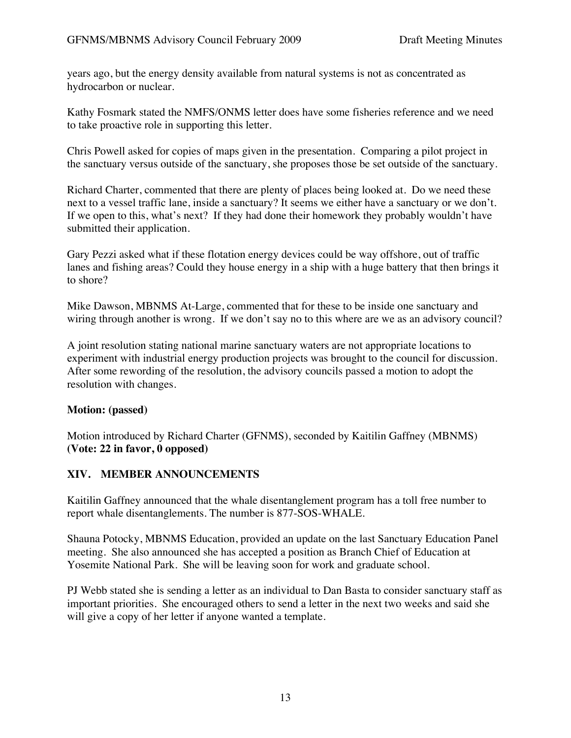years ago, but the energy density available from natural systems is not as concentrated as hydrocarbon or nuclear.

Kathy Fosmark stated the NMFS/ONMS letter does have some fisheries reference and we need to take proactive role in supporting this letter.

Chris Powell asked for copies of maps given in the presentation. Comparing a pilot project in the sanctuary versus outside of the sanctuary, she proposes those be set outside of the sanctuary.

Richard Charter, commented that there are plenty of places being looked at. Do we need these next to a vessel traffic lane, inside a sanctuary? It seems we either have a sanctuary or we don't. If we open to this, what's next? If they had done their homework they probably wouldn't have submitted their application.

Gary Pezzi asked what if these flotation energy devices could be way offshore, out of traffic lanes and fishing areas? Could they house energy in a ship with a huge battery that then brings it to shore?

Mike Dawson, MBNMS At-Large, commented that for these to be inside one sanctuary and wiring through another is wrong. If we don't say no to this where are we as an advisory council?

A joint resolution stating national marine sanctuary waters are not appropriate locations to experiment with industrial energy production projects was brought to the council for discussion. After some rewording of the resolution, the advisory councils passed a motion to adopt the resolution with changes.

## **Motion: (passed)**

Motion introduced by Richard Charter (GFNMS), seconded by Kaitilin Gaffney (MBNMS) **(Vote: 22 in favor, 0 opposed)**

## **XIV. MEMBER ANNOUNCEMENTS**

Kaitilin Gaffney announced that the whale disentanglement program has a toll free number to report whale disentanglements. The number is 877-SOS-WHALE.

Shauna Potocky, MBNMS Education, provided an update on the last Sanctuary Education Panel meeting. She also announced she has accepted a position as Branch Chief of Education at Yosemite National Park. She will be leaving soon for work and graduate school.

PJ Webb stated she is sending a letter as an individual to Dan Basta to consider sanctuary staff as important priorities. She encouraged others to send a letter in the next two weeks and said she will give a copy of her letter if anyone wanted a template.